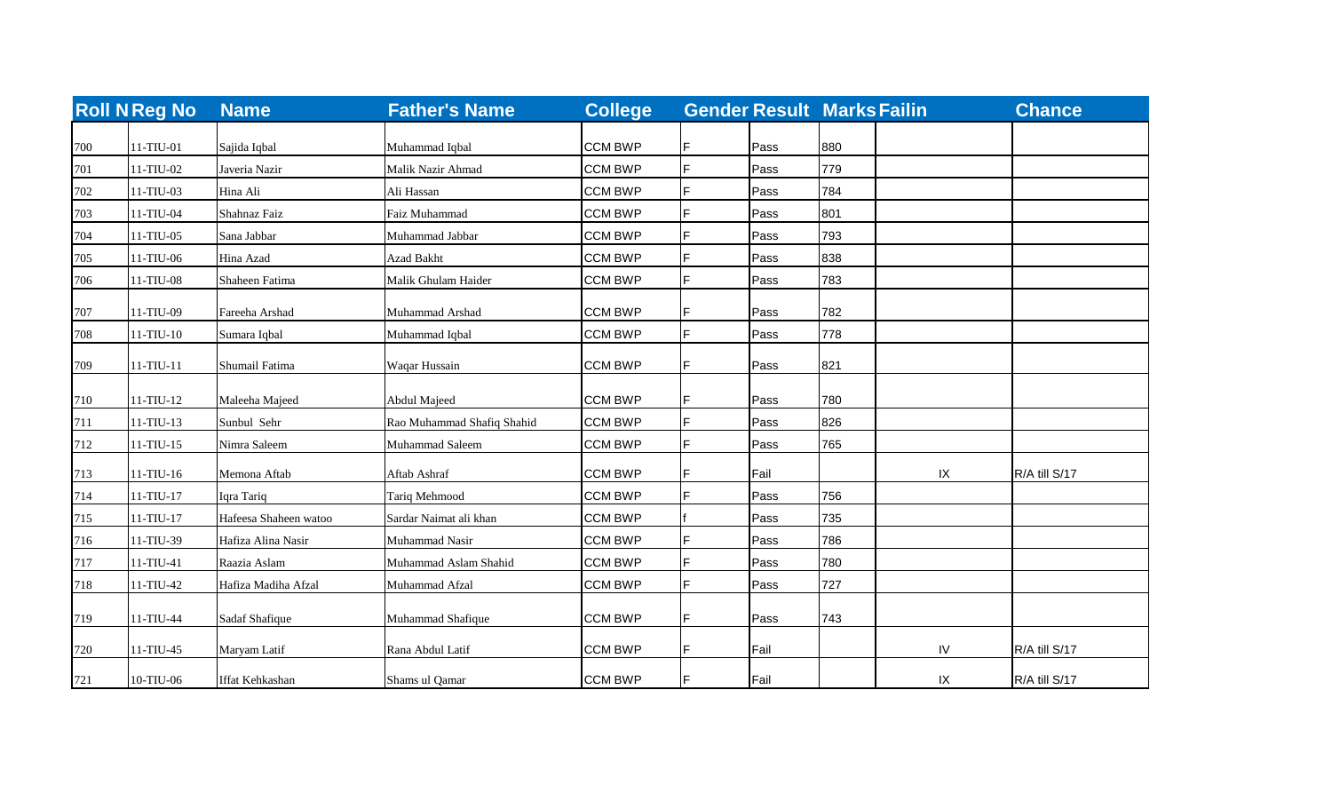|     | <b>Roll N Reg No</b> | <b>Name</b>            | <b>Father's Name</b>       | <b>College</b> |    |              | <b>Gender Result Marks Failin</b> |    | <b>Chance</b> |
|-----|----------------------|------------------------|----------------------------|----------------|----|--------------|-----------------------------------|----|---------------|
|     |                      |                        |                            | <b>CCM BWP</b> |    |              | 880                               |    |               |
| 700 | 11-TIU-01            | Sajida Iqbal           | Muhammad Iqbal             | <b>CCM BWP</b> |    | Pass<br>Pass | 779                               |    |               |
| 701 | 11-TIU-02            | Javeria Nazir          | Malik Nazir Ahmad          |                |    |              |                                   |    |               |
| 702 | 11-TIU-03            | Hina Ali               | Ali Hassan                 | <b>CCM BWP</b> |    | Pass         | 784                               |    |               |
| 703 | 11-TIU-04            | Shahnaz Faiz           | Faiz Muhammad              | <b>CCM BWP</b> |    | Pass         | 801                               |    |               |
| 704 | 11-TIU-05            | Sana Jabbar            | Muhammad Jabbar            | <b>CCM BWP</b> |    | Pass         | 793                               |    |               |
| 705 | 11-TIU-06            | Hina Azad              | <b>Azad Bakht</b>          | <b>CCM BWP</b> |    | Pass         | 838                               |    |               |
| 706 | 11-TIU-08            | Shaheen Fatima         | Malik Ghulam Haider        | <b>CCM BWP</b> | E  | Pass         | 783                               |    |               |
| 707 | 11-TIU-09            | Fareeha Arshad         | Muhammad Arshad            | <b>CCM BWP</b> | F  | Pass         | 782                               |    |               |
| 708 | $11-TIU-10$          | Sumara Iqbal           | Muhammad Iqbal             | <b>CCM BWP</b> | F  | Pass         | 778                               |    |               |
| 709 | $11-TIU-11$          | Shumail Fatima         | Waqar Hussain              | <b>CCM BWP</b> |    | Pass         | 821                               |    |               |
| 710 | 11-TIU-12            | Maleeha Majeed         | Abdul Majeed               | <b>CCM BWP</b> |    | Pass         | 780                               |    |               |
| 711 | $11-TIU-13$          | Sunbul Sehr            | Rao Muhammad Shafiq Shahid | <b>CCM BWP</b> |    | Pass         | 826                               |    |               |
| 712 | $11-TIU-15$          | Nimra Saleem           | Muhammad Saleem            | <b>CCM BWP</b> |    | Pass         | 765                               |    |               |
| 713 | $11-TIU-16$          | Memona Aftab           | Aftab Ashraf               | <b>CCM BWP</b> |    | Fail         |                                   | IX | R/A till S/17 |
| 714 | $11-TIU-17$          | Iqra Tariq             | Tariq Mehmood              | <b>CCM BWP</b> |    | Pass         | 756                               |    |               |
| 715 | $11-TIU-17$          | Hafeesa Shaheen watoo  | Sardar Naimat ali khan     | <b>CCM BWP</b> |    | Pass         | 735                               |    |               |
| 716 | 11-TIU-39            | Hafiza Alina Nasir     | Muhammad Nasir             | <b>CCM BWP</b> |    | Pass         | 786                               |    |               |
| 717 | 11-TIU-41            | Raazia Aslam           | Muhammad Aslam Shahid      | <b>CCM BWP</b> |    | Pass         | 780                               |    |               |
| 718 | 11-TIU-42            | Hafiza Madiha Afzal    | Muhammad Afzal             | <b>CCM BWP</b> |    | Pass         | 727                               |    |               |
| 719 | 11-TIU-44            | Sadaf Shafique         | Muhammad Shafique          | <b>CCM BWP</b> |    | Pass         | 743                               |    |               |
| 720 | 11-TIU-45            | Maryam Latif           | Rana Abdul Latif           | <b>CCM BWP</b> | IF | Fail         |                                   | IV | R/A till S/17 |
| 721 | 10-TIU-06            | <b>Iffat Kehkashan</b> | Shams ul Qamar             | <b>CCM BWP</b> | IF | Fail         |                                   | IX | R/A till S/17 |